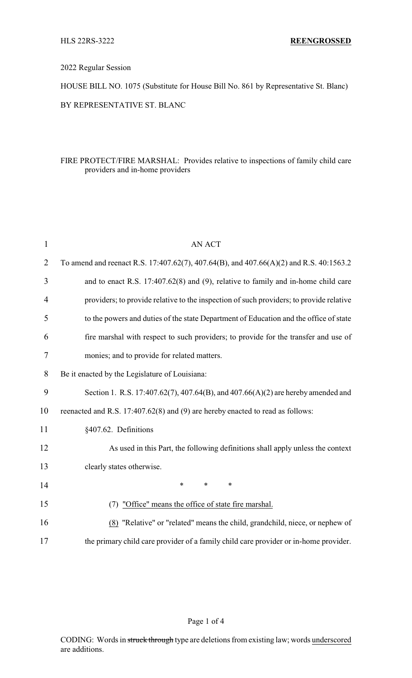## 2022 Regular Session

HOUSE BILL NO. 1075 (Substitute for House Bill No. 861 by Representative St. Blanc) BY REPRESENTATIVE ST. BLANC

## FIRE PROTECT/FIRE MARSHAL: Provides relative to inspections of family child care providers and in-home providers

| $\mathbf{1}$   | <b>AN ACT</b>                                                                           |
|----------------|-----------------------------------------------------------------------------------------|
| $\overline{2}$ | To amend and reenact R.S. 17:407.62(7), 407.64(B), and 407.66(A)(2) and R.S. 40:1563.2  |
| 3              | and to enact R.S. 17:407.62(8) and (9), relative to family and in-home child care       |
| 4              | providers; to provide relative to the inspection of such providers; to provide relative |
| 5              | to the powers and duties of the state Department of Education and the office of state   |
| 6              | fire marshal with respect to such providers; to provide for the transfer and use of     |
| 7              | monies; and to provide for related matters.                                             |
| 8              | Be it enacted by the Legislature of Louisiana:                                          |
| 9              | Section 1. R.S. 17:407.62(7), 407.64(B), and 407.66(A)(2) are hereby amended and        |
| 10             | reenacted and R.S. 17:407.62(8) and (9) are hereby enacted to read as follows:          |
| 11             | §407.62. Definitions                                                                    |
| 12             | As used in this Part, the following definitions shall apply unless the context          |
| 13             | clearly states otherwise.                                                               |
| 14             | $\ast$<br>$\ast$<br>$\ast$                                                              |
| 15             | (7) "Office" means the office of state fire marshal.                                    |
| 16             | (8) "Relative" or "related" means the child, grandchild, niece, or nephew of            |
| 17             | the primary child care provider of a family child care provider or in-home provider.    |

## Page 1 of 4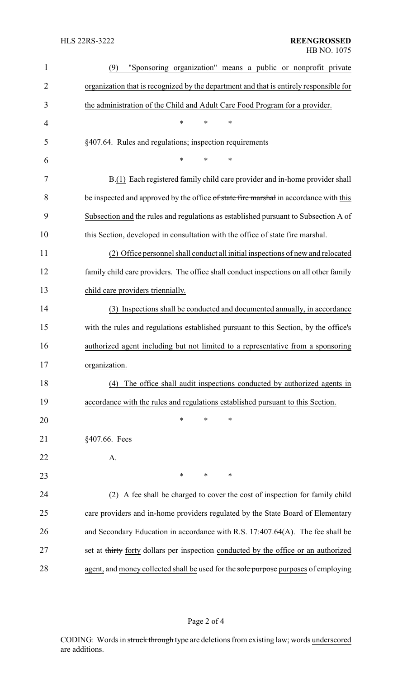| $\mathbf{1}$   | "Sponsoring organization" means a public or nonprofit private<br>(9)                   |
|----------------|----------------------------------------------------------------------------------------|
| $\overline{2}$ | organization that is recognized by the department and that is entirely responsible for |
| 3              | the administration of the Child and Adult Care Food Program for a provider.            |
| $\overline{4}$ | $\ast$<br>$\ast$<br>∗                                                                  |
| 5              | §407.64. Rules and regulations; inspection requirements                                |
| 6              | $\ast$<br>$\ast$<br>*                                                                  |
| 7              | B.(1) Each registered family child care provider and in-home provider shall            |
| 8              | be inspected and approved by the office of state fire marshal in accordance with this  |
| 9              | Subsection and the rules and regulations as established pursuant to Subsection A of    |
| 10             | this Section, developed in consultation with the office of state fire marshal.         |
| 11             | (2) Office personnel shall conduct all initial inspections of new and relocated        |
| 12             | family child care providers. The office shall conduct inspections on all other family  |
| 13             | child care providers triennially.                                                      |
| 14             | (3) Inspections shall be conducted and documented annually, in accordance              |
| 15             | with the rules and regulations established pursuant to this Section, by the office's   |
| 16             | authorized agent including but not limited to a representative from a sponsoring       |
| 17             | organization.                                                                          |
| 18             | The office shall audit inspections conducted by authorized agents in<br>(4)            |
| 19             | accordance with the rules and regulations established pursuant to this Section.        |
| 20             | ∗<br>∗<br>*                                                                            |
| 21             | §407.66. Fees                                                                          |
| 22             | A.                                                                                     |
| 23             | $\ast$<br>∗<br>∗                                                                       |
| 24             | (2) A fee shall be charged to cover the cost of inspection for family child            |
| 25             | care providers and in-home providers regulated by the State Board of Elementary        |
| 26             | and Secondary Education in accordance with R.S. 17:407.64(A). The fee shall be         |
| 27             | set at thirty forty dollars per inspection conducted by the office or an authorized    |
| 28             | agent, and money collected shall be used for the sole purpose purposes of employing    |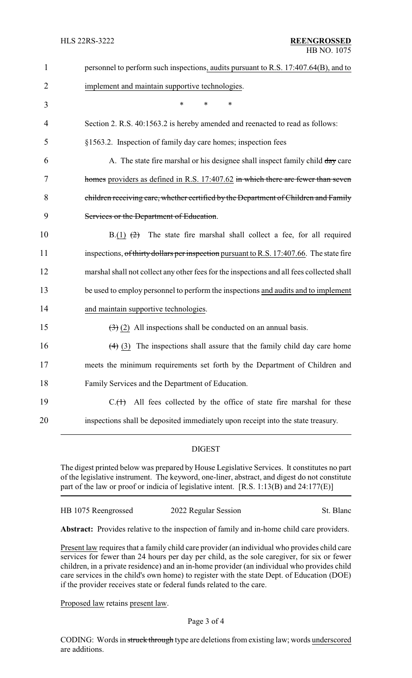| $\mathbf{1}$   | personnel to perform such inspections, audits pursuant to R.S. 17:407.64(B), and to       |
|----------------|-------------------------------------------------------------------------------------------|
| $\overline{2}$ | implement and maintain supportive technologies.                                           |
| 3              | *<br>*<br>∗                                                                               |
| 4              | Section 2. R.S. 40:1563.2 is hereby amended and reenacted to read as follows:             |
| 5              | §1563.2. Inspection of family day care homes; inspection fees                             |
| 6              | A. The state fire marshal or his designee shall inspect family child day care             |
| 7              | homes providers as defined in R.S. 17:407.62 in which there are fewer than seven          |
| 8              | children receiving care, whether certified by the Department of Children and Family       |
| 9              | Services or the Department of Education.                                                  |
| 10             | The state fire marshal shall collect a fee, for all required<br>$B(1)$ $(2)$              |
| 11             | inspections, of thirty dollars per inspection pursuant to R.S. 17:407.66. The state fire  |
| 12             | marshal shall not collect any other fees for the inspections and all fees collected shall |
| 13             | be used to employ personnel to perform the inspections and audits and to implement        |
| 14             | and maintain supportive technologies.                                                     |
| 15             | $\left(\frac{1}{2}\right)$ (2) All inspections shall be conducted on an annual basis.     |
| 16             | $(4)$ (3) The inspections shall assure that the family child day care home                |
| 17             | meets the minimum requirements set forth by the Department of Children and                |
| 18             | Family Services and the Department of Education.                                          |
| 19             | All fees collected by the office of state fire marshal for these<br>$C1(+)$               |
| 20             | inspections shall be deposited immediately upon receipt into the state treasury.          |

## DIGEST

The digest printed below was prepared by House Legislative Services. It constitutes no part of the legislative instrument. The keyword, one-liner, abstract, and digest do not constitute part of the law or proof or indicia of legislative intent. [R.S. 1:13(B) and 24:177(E)]

HB 1075 Reengrossed 2022 Regular Session St. Blanc

**Abstract:** Provides relative to the inspection of family and in-home child care providers.

Present law requires that a family child care provider (an individual who provides child care services for fewer than 24 hours per day per child, as the sole caregiver, for six or fewer children, in a private residence) and an in-home provider (an individual who provides child care services in the child's own home) to register with the state Dept. of Education (DOE) if the provider receives state or federal funds related to the care.

Proposed law retains present law.

CODING: Words in struck through type are deletions from existing law; words underscored are additions.